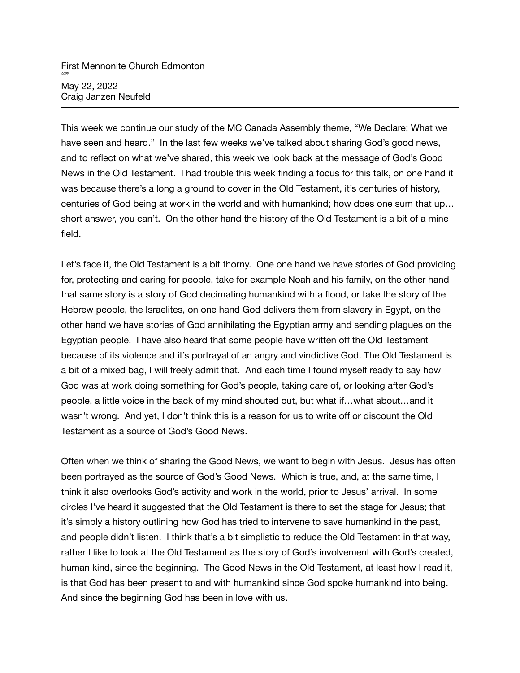This week we continue our study of the MC Canada Assembly theme, "We Declare; What we have seen and heard." In the last few weeks we've talked about sharing God's good news, and to reflect on what we've shared, this week we look back at the message of God's Good News in the Old Testament. I had trouble this week finding a focus for this talk, on one hand it was because there's a long a ground to cover in the Old Testament, it's centuries of history, centuries of God being at work in the world and with humankind; how does one sum that up… short answer, you can't. On the other hand the history of the Old Testament is a bit of a mine field.

Let's face it, the Old Testament is a bit thorny. One one hand we have stories of God providing for, protecting and caring for people, take for example Noah and his family, on the other hand that same story is a story of God decimating humankind with a flood, or take the story of the Hebrew people, the Israelites, on one hand God delivers them from slavery in Egypt, on the other hand we have stories of God annihilating the Egyptian army and sending plagues on the Egyptian people. I have also heard that some people have written off the Old Testament because of its violence and it's portrayal of an angry and vindictive God. The Old Testament is a bit of a mixed bag, I will freely admit that. And each time I found myself ready to say how God was at work doing something for God's people, taking care of, or looking after God's people, a little voice in the back of my mind shouted out, but what if…what about…and it wasn't wrong. And yet, I don't think this is a reason for us to write off or discount the Old Testament as a source of God's Good News.

Often when we think of sharing the Good News, we want to begin with Jesus. Jesus has often been portrayed as the source of God's Good News. Which is true, and, at the same time, I think it also overlooks God's activity and work in the world, prior to Jesus' arrival. In some circles I've heard it suggested that the Old Testament is there to set the stage for Jesus; that it's simply a history outlining how God has tried to intervene to save humankind in the past, and people didn't listen. I think that's a bit simplistic to reduce the Old Testament in that way, rather I like to look at the Old Testament as the story of God's involvement with God's created, human kind, since the beginning. The Good News in the Old Testament, at least how I read it, is that God has been present to and with humankind since God spoke humankind into being. And since the beginning God has been in love with us.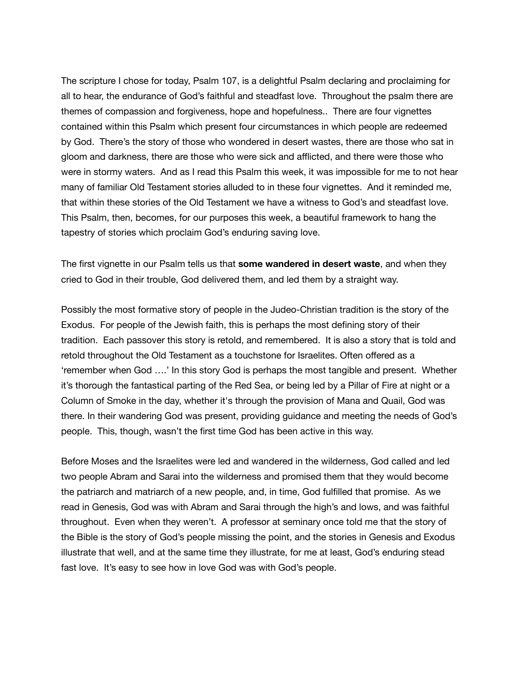The scripture I chose for today, Psalm 107, is a delightful Psalm declaring and proclaiming for all to hear, the endurance of God's faithful and steadfast love. Throughout the psalm there are themes of compassion and forgiveness, hope and hopefulness.. There are four vignettes contained within this Psalm which present four circumstances in which people are redeemed by God. There's the story of those who wondered in desert wastes, there are those who sat in gloom and darkness, there are those who were sick and afflicted, and there were those who were in stormy waters. And as I read this Psalm this week, it was impossible for me to not hear many of familiar Old Testament stories alluded to in these four vignettes. And it reminded me, that within these stories of the Old Testament we have a witness to God's and steadfast love. This Psalm, then, becomes, for our purposes this week, a beautiful framework to hang the tapestry of stories which proclaim God's enduring saving love.

The first vignette in our Psalm tells us that **some wandered in desert waste**, and when they cried to God in their trouble, God delivered them, and led them by a straight way.

Possibly the most formative story of people in the Judeo-Christian tradition is the story of the Exodus. For people of the Jewish faith, this is perhaps the most defining story of their tradition. Each passover this story is retold, and remembered. It is also a story that is told and retold throughout the Old Testament as a touchstone for Israelites. Often offered as a 'remember when God ….' In this story God is perhaps the most tangible and present. Whether it's thorough the fantastical parting of the Red Sea, or being led by a Pillar of Fire at night or a Column of Smoke in the day, whether it's through the provision of Mana and Quail, God was there. In their wandering God was present, providing guidance and meeting the needs of God's people. This, though, wasn't the first time God has been active in this way.

Before Moses and the Israelites were led and wandered in the wilderness, God called and led two people Abram and Sarai into the wilderness and promised them that they would become the patriarch and matriarch of a new people, and, in time, God fulfilled that promise. As we read in Genesis, God was with Abram and Sarai through the high's and lows, and was faithful throughout. Even when they weren't. A professor at seminary once told me that the story of the Bible is the story of God's people missing the point, and the stories in Genesis and Exodus illustrate that well, and at the same time they illustrate, for me at least, God's enduring stead fast love. It's easy to see how in love God was with God's people.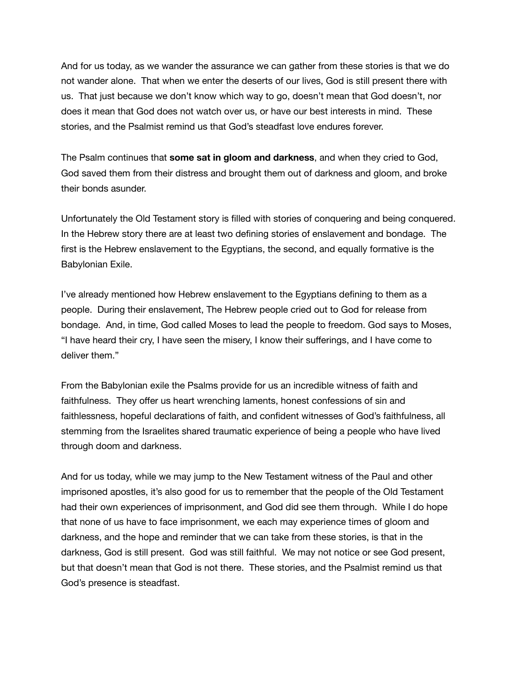And for us today, as we wander the assurance we can gather from these stories is that we do not wander alone. That when we enter the deserts of our lives, God is still present there with us. That just because we don't know which way to go, doesn't mean that God doesn't, nor does it mean that God does not watch over us, or have our best interests in mind. These stories, and the Psalmist remind us that God's steadfast love endures forever.

The Psalm continues that **some sat in gloom and darkness**, and when they cried to God, God saved them from their distress and brought them out of darkness and gloom, and broke their bonds asunder.

Unfortunately the Old Testament story is filled with stories of conquering and being conquered. In the Hebrew story there are at least two defining stories of enslavement and bondage. The first is the Hebrew enslavement to the Egyptians, the second, and equally formative is the Babylonian Exile.

I've already mentioned how Hebrew enslavement to the Egyptians defining to them as a people. During their enslavement, The Hebrew people cried out to God for release from bondage. And, in time, God called Moses to lead the people to freedom. God says to Moses, "I have heard their cry, I have seen the misery, I know their sufferings, and I have come to deliver them."

From the Babylonian exile the Psalms provide for us an incredible witness of faith and faithfulness. They offer us heart wrenching laments, honest confessions of sin and faithlessness, hopeful declarations of faith, and confident witnesses of God's faithfulness, all stemming from the Israelites shared traumatic experience of being a people who have lived through doom and darkness.

And for us today, while we may jump to the New Testament witness of the Paul and other imprisoned apostles, it's also good for us to remember that the people of the Old Testament had their own experiences of imprisonment, and God did see them through. While I do hope that none of us have to face imprisonment, we each may experience times of gloom and darkness, and the hope and reminder that we can take from these stories, is that in the darkness, God is still present. God was still faithful. We may not notice or see God present, but that doesn't mean that God is not there. These stories, and the Psalmist remind us that God's presence is steadfast.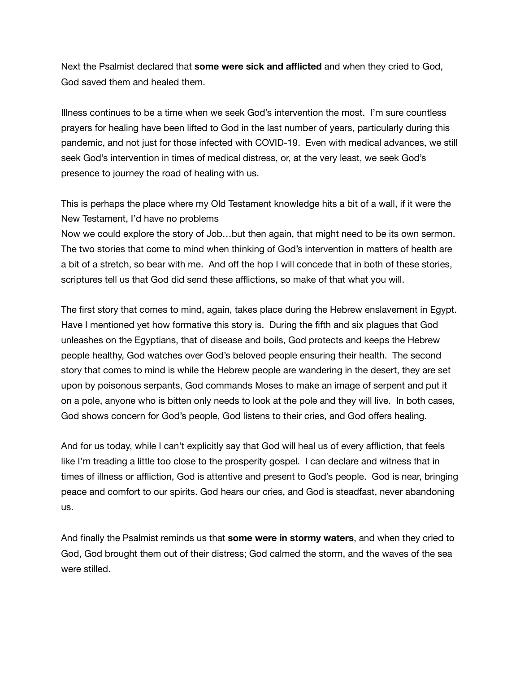Next the Psalmist declared that **some were sick and afflicted** and when they cried to God, God saved them and healed them.

Illness continues to be a time when we seek God's intervention the most. I'm sure countless prayers for healing have been lifted to God in the last number of years, particularly during this pandemic, and not just for those infected with COVID-19. Even with medical advances, we still seek God's intervention in times of medical distress, or, at the very least, we seek God's presence to journey the road of healing with us.

This is perhaps the place where my Old Testament knowledge hits a bit of a wall, if it were the New Testament, I'd have no problems

Now we could explore the story of Job…but then again, that might need to be its own sermon. The two stories that come to mind when thinking of God's intervention in matters of health are a bit of a stretch, so bear with me. And off the hop I will concede that in both of these stories, scriptures tell us that God did send these afflictions, so make of that what you will.

The first story that comes to mind, again, takes place during the Hebrew enslavement in Egypt. Have I mentioned yet how formative this story is. During the fifth and six plagues that God unleashes on the Egyptians, that of disease and boils, God protects and keeps the Hebrew people healthy, God watches over God's beloved people ensuring their health. The second story that comes to mind is while the Hebrew people are wandering in the desert, they are set upon by poisonous serpants, God commands Moses to make an image of serpent and put it on a pole, anyone who is bitten only needs to look at the pole and they will live. In both cases, God shows concern for God's people, God listens to their cries, and God offers healing.

And for us today, while I can't explicitly say that God will heal us of every affliction, that feels like I'm treading a little too close to the prosperity gospel. I can declare and witness that in times of illness or affliction, God is attentive and present to God's people. God is near, bringing peace and comfort to our spirits. God hears our cries, and God is steadfast, never abandoning us.

And finally the Psalmist reminds us that **some were in stormy waters**, and when they cried to God, God brought them out of their distress; God calmed the storm, and the waves of the sea were stilled.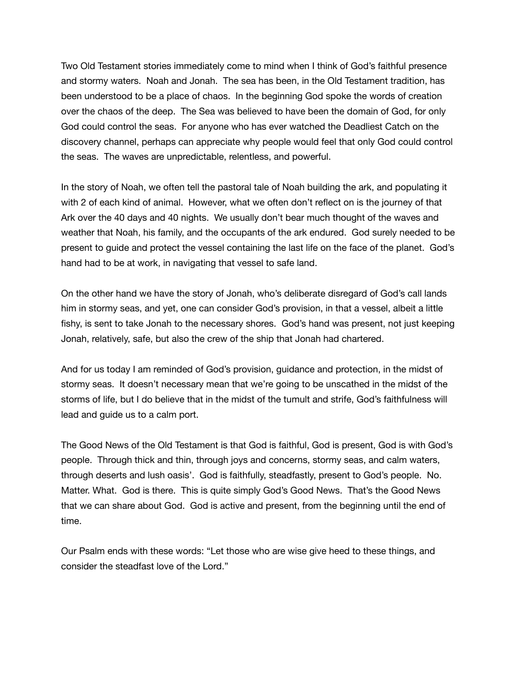Two Old Testament stories immediately come to mind when I think of God's faithful presence and stormy waters. Noah and Jonah. The sea has been, in the Old Testament tradition, has been understood to be a place of chaos. In the beginning God spoke the words of creation over the chaos of the deep. The Sea was believed to have been the domain of God, for only God could control the seas. For anyone who has ever watched the Deadliest Catch on the discovery channel, perhaps can appreciate why people would feel that only God could control the seas. The waves are unpredictable, relentless, and powerful.

In the story of Noah, we often tell the pastoral tale of Noah building the ark, and populating it with 2 of each kind of animal. However, what we often don't reflect on is the journey of that Ark over the 40 days and 40 nights. We usually don't bear much thought of the waves and weather that Noah, his family, and the occupants of the ark endured. God surely needed to be present to guide and protect the vessel containing the last life on the face of the planet. God's hand had to be at work, in navigating that vessel to safe land.

On the other hand we have the story of Jonah, who's deliberate disregard of God's call lands him in stormy seas, and yet, one can consider God's provision, in that a vessel, albeit a little fishy, is sent to take Jonah to the necessary shores. God's hand was present, not just keeping Jonah, relatively, safe, but also the crew of the ship that Jonah had chartered.

And for us today I am reminded of God's provision, guidance and protection, in the midst of stormy seas. It doesn't necessary mean that we're going to be unscathed in the midst of the storms of life, but I do believe that in the midst of the tumult and strife, God's faithfulness will lead and guide us to a calm port.

The Good News of the Old Testament is that God is faithful, God is present, God is with God's people. Through thick and thin, through joys and concerns, stormy seas, and calm waters, through deserts and lush oasis'. God is faithfully, steadfastly, present to God's people. No. Matter. What. God is there. This is quite simply God's Good News. That's the Good News that we can share about God. God is active and present, from the beginning until the end of time.

Our Psalm ends with these words: "Let those who are wise give heed to these things, and consider the steadfast love of the Lord."